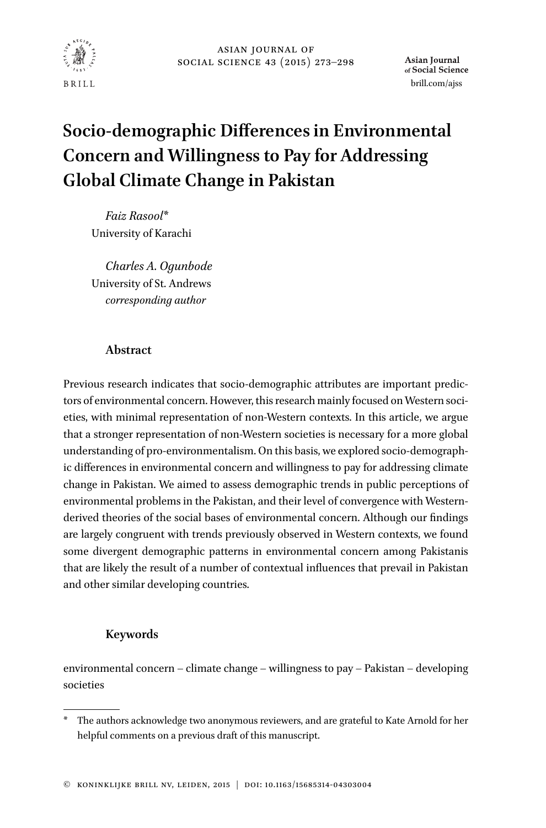

Asian **Journal** of Social Science [brill.com/ajss](http://brill.com/ajss)

# <span id="page-0-0"></span>**Socio-demographic Differences in Environmental Concern and Willingness to Pay for Addressing Global Climate Change in Pakistan**

*Faiz Rasool*\* University of Karachi

*Charles A. Ogunbode* University of St. Andrews *corresponding author*

# **Abstract**

Previous research indicates that socio-demographic attributes are important predictors of environmental concern. However, this research mainly focused on Western societies, with minimal representation of non-Western contexts. In this article, we argue that a stronger representation of non-Western societies is necessary for a more global understanding of pro-environmentalism. On this basis, we explored socio-demographic differences in environmental concern and willingness to pay for addressing climate change in Pakistan. We aimed to assess demographic trends in public perceptions of environmental problems in the Pakistan, and their level of convergence with Westernderived theories of the social bases of environmental concern. Although our findings are largely congruent with trends previously observed in Western contexts, we found some divergent demographic patterns in environmental concern among Pakistanis that are likely the result of a number of contextual influences that prevail in Pakistan and other similar developing countries.

## **Keywords**

environmental concern – climate change – willingness to pay – Pakistan – developing societies

<sup>\*</sup> The authors acknowledge two anonymous reviewers, and are grateful to Kate Arnold for her helpful comments on a previous draft of this manuscript.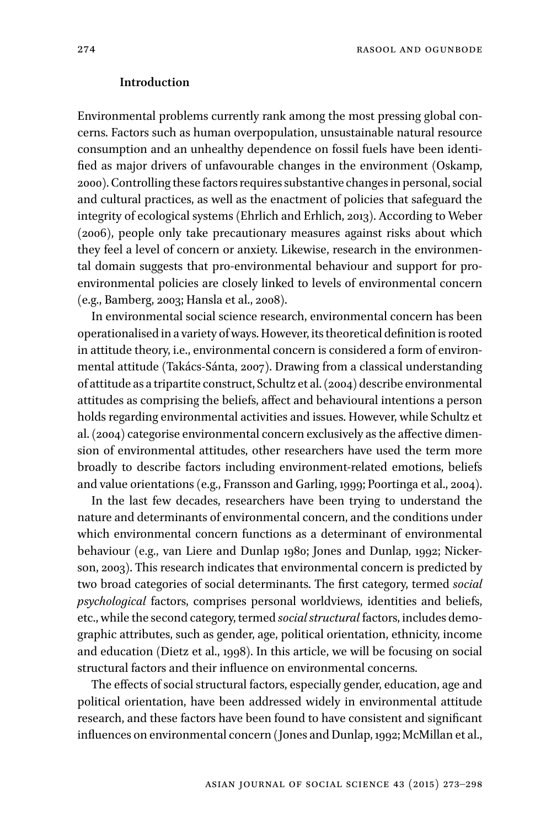#### **Introduction**

Environmental problems currently rank among the most pressing global concerns. Factors such as human overpopulation, unsustainable natural resource consumption and an unhealthy dependence on fossil fuels have been identified as major drivers of unfavourable changes in the environment (Oskamp, 2000). Controlling these factors requires substantive changes in personal, social and cultural practices, as well as the enactment of policies that safeguard the integrity of ecological systems (Ehrlich and Erhlich, 2013). According to Weber (2006), people only take precautionary measures against risks about which they feel a level of concern or anxiety. Likewise, research in the environmental domain suggests that pro-environmental behaviour and support for proenvironmental policies are closely linked to levels of environmental concern (e.g., Bamberg, 2003; Hansla et al., 2008).

In environmental social science research, environmental concern has been operationalised in a variety of ways. However, its theoretical definition is rooted in attitude theory, i.e., environmental concern is considered a form of environmental attitude (Takács-Sánta, 2007). Drawing from a classical understanding of attitude as a tripartite construct, Schultz et al. (2004) describe environmental attitudes as comprising the beliefs, affect and behavioural intentions a person holds regarding environmental activities and issues. However, while Schultz et al. (2004) categorise environmental concern exclusively as the affective dimension of environmental attitudes, other researchers have used the term more broadly to describe factors including environment-related emotions, beliefs and value orientations (e.g., Fransson and Garling, 1999; Poortinga et al., 2004).

In the last few decades, researchers have been trying to understand the nature and determinants of environmental concern, and the conditions under which environmental concern functions as a determinant of environmental behaviour (e.g., van Liere and Dunlap 1980; Jones and Dunlap, 1992; Nickerson, 2003). This research indicates that environmental concern is predicted by two broad categories of social determinants. The first category, termed *social psychological* factors, comprises personal worldviews, identities and beliefs, etc., while the second category, termed *social structural* factors, includes demographic attributes, such as gender, age, political orientation, ethnicity, income and education (Dietz et al., 1998). In this article, we will be focusing on social structural factors and their influence on environmental concerns.

The effects of social structural factors, especially gender, education, age and political orientation, have been addressed widely in environmental attitude research, and these factors have been found to have consistent and significant influences on environmental concern (Jones and Dunlap, 1992; McMillan et al.,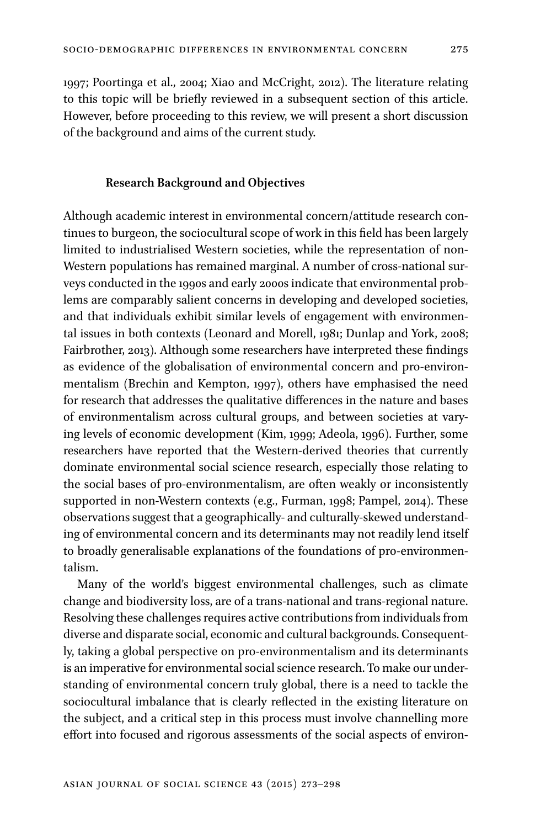1997; Poortinga et al., 2004; Xiao and McCright, 2012). The literature relating to this topic will be briefly reviewed in a subsequent section of this article. However, before proceeding to this review, we will present a short discussion of the background and aims of the current study.

#### **Research Background and Objectives**

Although academic interest in environmental concern/attitude research continues to burgeon, the sociocultural scope of work in this field has been largely limited to industrialised Western societies, while the representation of non-Western populations has remained marginal. A number of cross-national surveys conducted in the 1990s and early 2000s indicate that environmental problems are comparably salient concerns in developing and developed societies, and that individuals exhibit similar levels of engagement with environmental issues in both contexts (Leonard and Morell, 1981; Dunlap and York, 2008; Fairbrother, 2013). Although some researchers have interpreted these findings as evidence of the globalisation of environmental concern and pro-environmentalism (Brechin and Kempton, 1997), others have emphasised the need for research that addresses the qualitative differences in the nature and bases of environmentalism across cultural groups, and between societies at varying levels of economic development (Kim, 1999; Adeola, 1996). Further, some researchers have reported that the Western-derived theories that currently dominate environmental social science research, especially those relating to the social bases of pro-environmentalism, are often weakly or inconsistently supported in non-Western contexts (e.g., Furman, 1998; Pampel, 2014). These observations suggest that a geographically- and culturally-skewed understanding of environmental concern and its determinants may not readily lend itself to broadly generalisable explanations of the foundations of pro-environmentalism.

Many of the world's biggest environmental challenges, such as climate change and biodiversity loss, are of a trans-national and trans-regional nature. Resolving these challenges requires active contributions from individuals from diverse and disparate social, economic and cultural backgrounds. Consequently, taking a global perspective on pro-environmentalism and its determinants is an imperative for environmental social science research. To make our understanding of environmental concern truly global, there is a need to tackle the sociocultural imbalance that is clearly reflected in the existing literature on the subject, and a critical step in this process must involve channelling more effort into focused and rigorous assessments of the social aspects of environ-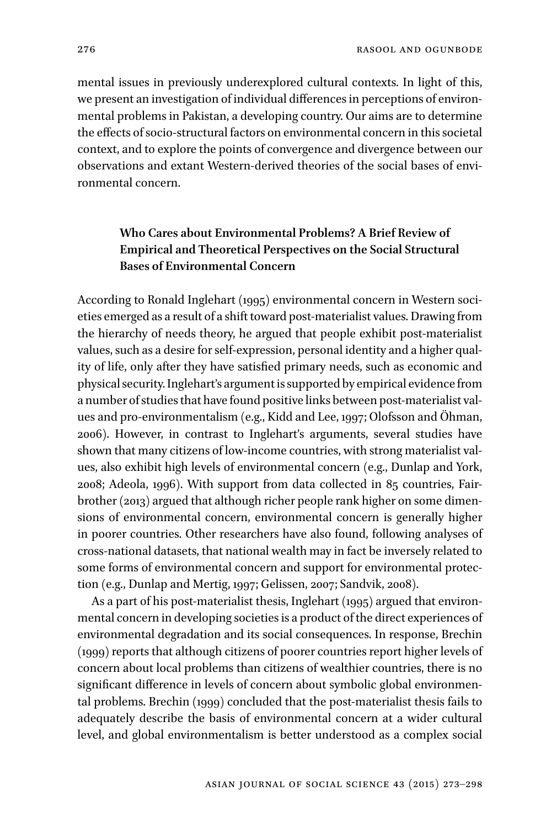mental issues in previously underexplored cultural contexts. In light of this, we present an investigation of individual differences in perceptions of environmental problems in Pakistan, a developing country. Our aims are to determine the effects of socio-structural factors on environmental concern in this societal context, and to explore the points of convergence and divergence between our observations and extant Western-derived theories of the social bases of environmental concern.

# **Who Cares about Environmental Problems? A Brief Review of Empirical and Theoretical Perspectives on the Social Structural Bases of Environmental Concern**

According to Ronald Inglehart (1995) environmental concern in Western societies emerged as a result of a shift toward post-materialist values. Drawing from the hierarchy of needs theory, he argued that people exhibit post-materialist values, such as a desire for self-expression, personal identity and a higher quality of life, only after they have satisfied primary needs, such as economic and physical security.Inglehart's argument is supported by empirical evidence from a number of studies that have found positive links between post-materialist values and pro-environmentalism (e.g., Kidd and Lee, 1997; Olofsson and Öhman, 2006). However, in contrast to Inglehart's arguments, several studies have shown that many citizens of low-income countries, with strong materialist values, also exhibit high levels of environmental concern (e.g., Dunlap and York, 2008; Adeola, 1996). With support from data collected in 85 countries, Fairbrother (2013) argued that although richer people rank higher on some dimensions of environmental concern, environmental concern is generally higher in poorer countries. Other researchers have also found, following analyses of cross-national datasets, that national wealth may in fact be inversely related to some forms of environmental concern and support for environmental protection (e.g., Dunlap and Mertig, 1997; Gelissen, 2007; Sandvik, 2008).

As a part of his post-materialist thesis, Inglehart (1995) argued that environmental concern in developing societies is a product of the direct experiences of environmental degradation and its social consequences. In response, Brechin (1999) reports that although citizens of poorer countries report higher levels of concern about local problems than citizens of wealthier countries, there is no significant difference in levels of concern about symbolic global environmental problems. Brechin (1999) concluded that the post-materialist thesis fails to adequately describe the basis of environmental concern at a wider cultural level, and global environmentalism is better understood as a complex social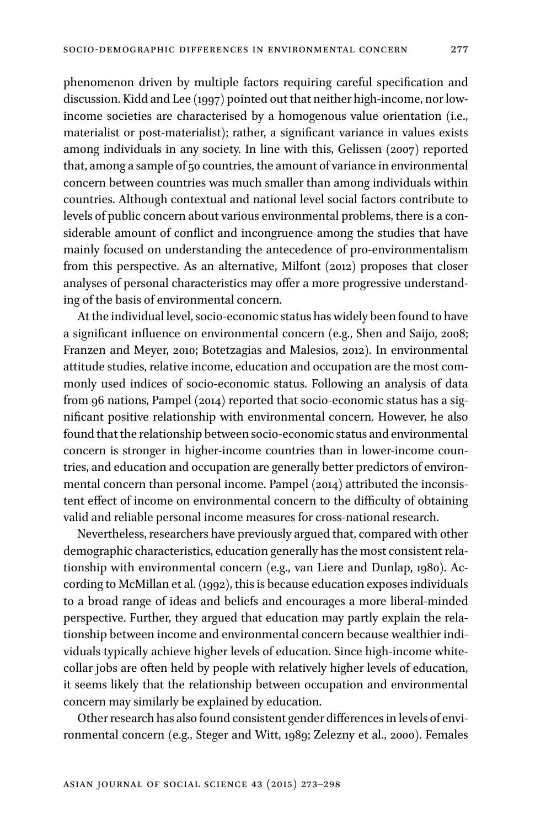phenomenon driven by multiple factors requiring careful specification and discussion. Kidd and Lee (1997) pointed out that neither high-income, nor lowincome societies are characterised by a homogenous value orientation (i.e., materialist or post-materialist); rather, a significant variance in values exists among individuals in any society. In line with this, Gelissen (2007) reported that, among a sample of 50 countries, the amount of variance in environmental concern between countries was much smaller than among individuals within countries. Although contextual and national level social factors contribute to levels of public concern about various environmental problems, there is a considerable amount of conflict and incongruence among the studies that have mainly focused on understanding the antecedence of pro-environmentalism from this perspective. As an alternative, Milfont (2012) proposes that closer analyses of personal characteristics may offer a more progressive understanding of the basis of environmental concern.

At the individual level, socio-economic status has widely been found to have a significant influence on environmental concern (e.g., Shen and Saijo, 2008; Franzen and Meyer, 2010; Botetzagias and Malesios, 2012). In environmental attitude studies, relative income, education and occupation are the most commonly used indices of socio-economic status. Following an analysis of data from 96 nations, Pampel (2014) reported that socio-economic status has a significant positive relationship with environmental concern. However, he also found that the relationship between socio-economic status and environmental concern is stronger in higher-income countries than in lower-income countries, and education and occupation are generally better predictors of environmental concern than personal income. Pampel (2014) attributed the inconsistent effect of income on environmental concern to the difficulty of obtaining valid and reliable personal income measures for cross-national research.

Nevertheless, researchers have previously argued that, compared with other demographic characteristics, education generally has the most consistent relationship with environmental concern (e.g., van Liere and Dunlap, 1980). According to McMillan et al. (1992), this is because education exposes individuals to a broad range of ideas and beliefs and encourages a more liberal-minded perspective. Further, they argued that education may partly explain the relationship between income and environmental concern because wealthier individuals typically achieve higher levels of education. Since high-income whitecollar jobs are often held by people with relatively higher levels of education, it seems likely that the relationship between occupation and environmental concern may similarly be explained by education.

Other research has also found consistent gender differences in levels of environmental concern (e.g., Steger and Witt, 1989; Zelezny et al., 2000). Females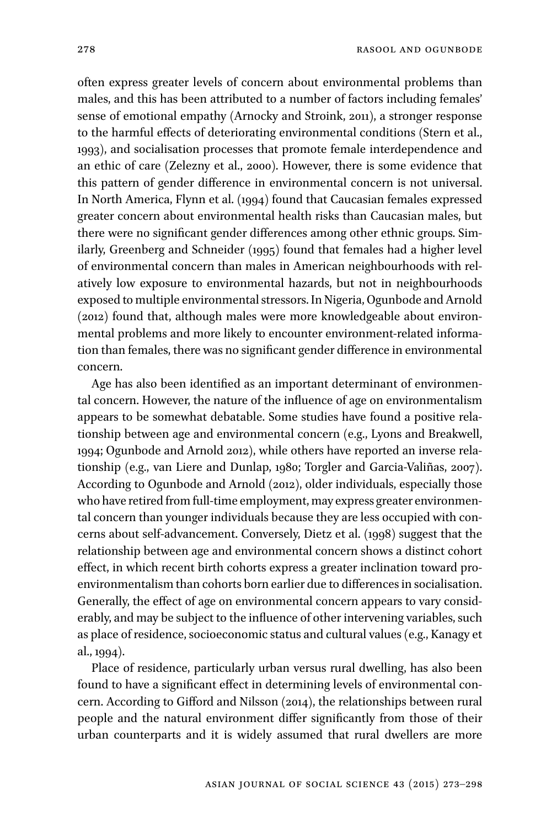often express greater levels of concern about environmental problems than males, and this has been attributed to a number of factors including females' sense of emotional empathy (Arnocky and Stroink, 2011), a stronger response to the harmful effects of deteriorating environmental conditions (Stern et al., 1993), and socialisation processes that promote female interdependence and an ethic of care (Zelezny et al., 2000). However, there is some evidence that this pattern of gender difference in environmental concern is not universal. In North America, Flynn et al. (1994) found that Caucasian females expressed greater concern about environmental health risks than Caucasian males, but there were no significant gender differences among other ethnic groups. Similarly, Greenberg and Schneider (1995) found that females had a higher level of environmental concern than males in American neighbourhoods with relatively low exposure to environmental hazards, but not in neighbourhoods exposed to multiple environmental stressors. In Nigeria, Ogunbode and Arnold (2012) found that, although males were more knowledgeable about environmental problems and more likely to encounter environment-related information than females, there was no significant gender difference in environmental concern.

Age has also been identified as an important determinant of environmental concern. However, the nature of the influence of age on environmentalism appears to be somewhat debatable. Some studies have found a positive relationship between age and environmental concern (e.g., Lyons and Breakwell, 1994; Ogunbode and Arnold 2012), while others have reported an inverse relationship (e.g., van Liere and Dunlap, 1980; Torgler and Garcia-Valiñas, 2007). According to Ogunbode and Arnold (2012), older individuals, especially those who have retired from full-time employment, may express greater environmental concern than younger individuals because they are less occupied with concerns about self-advancement. Conversely, Dietz et al. (1998) suggest that the relationship between age and environmental concern shows a distinct cohort effect, in which recent birth cohorts express a greater inclination toward proenvironmentalism than cohorts born earlier due to differences in socialisation. Generally, the effect of age on environmental concern appears to vary considerably, and may be subject to the influence of other intervening variables, such as place of residence, socioeconomic status and cultural values (e.g., Kanagy et al., 1994).

Place of residence, particularly urban versus rural dwelling, has also been found to have a significant effect in determining levels of environmental concern. According to Gifford and Nilsson (2014), the relationships between rural people and the natural environment differ significantly from those of their urban counterparts and it is widely assumed that rural dwellers are more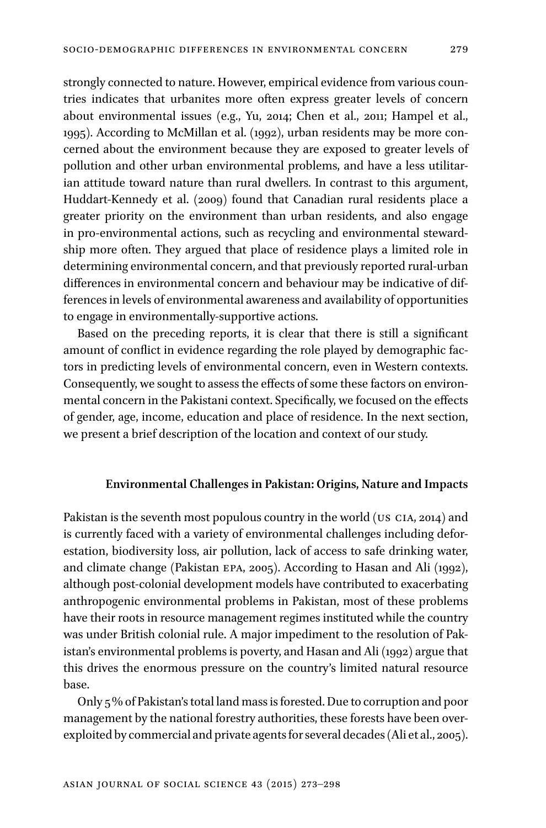strongly connected to nature. However, empirical evidence from various countries indicates that urbanites more often express greater levels of concern about environmental issues (e.g., Yu, 2014; Chen et al., 2011; Hampel et al., 1995). According to McMillan et al. (1992), urban residents may be more concerned about the environment because they are exposed to greater levels of pollution and other urban environmental problems, and have a less utilitarian attitude toward nature than rural dwellers. In contrast to this argument, Huddart-Kennedy et al. (2009) found that Canadian rural residents place a greater priority on the environment than urban residents, and also engage in pro-environmental actions, such as recycling and environmental stewardship more often. They argued that place of residence plays a limited role in determining environmental concern, and that previously reported rural-urban differences in environmental concern and behaviour may be indicative of differences in levels of environmental awareness and availability of opportunities to engage in environmentally-supportive actions.

Based on the preceding reports, it is clear that there is still a significant amount of conflict in evidence regarding the role played by demographic factors in predicting levels of environmental concern, even in Western contexts. Consequently, we sought to assess the effects of some these factors on environmental concern in the Pakistani context. Specifically, we focused on the effects of gender, age, income, education and place of residence. In the next section, we present a brief description of the location and context of our study.

## **Environmental Challenges in Pakistan: Origins, Nature and Impacts**

Pakistan is the seventh most populous country in the world (US CIA, 2014) and is currently faced with a variety of environmental challenges including deforestation, biodiversity loss, air pollution, lack of access to safe drinking water, and climate change (Pakistan epa, 2005). According to Hasan and Ali (1992), although post-colonial development models have contributed to exacerbating anthropogenic environmental problems in Pakistan, most of these problems have their roots in resource management regimes instituted while the country was under British colonial rule. A major impediment to the resolution of Pakistan's environmental problems is poverty, and Hasan and Ali (1992) argue that this drives the enormous pressure on the country's limited natural resource base.

Only 5% of Pakistan's total land mass is forested. Due to corruption and poor management by the national forestry authorities, these forests have been overexploited by commercial and private agents for several decades (Ali et al., 2005).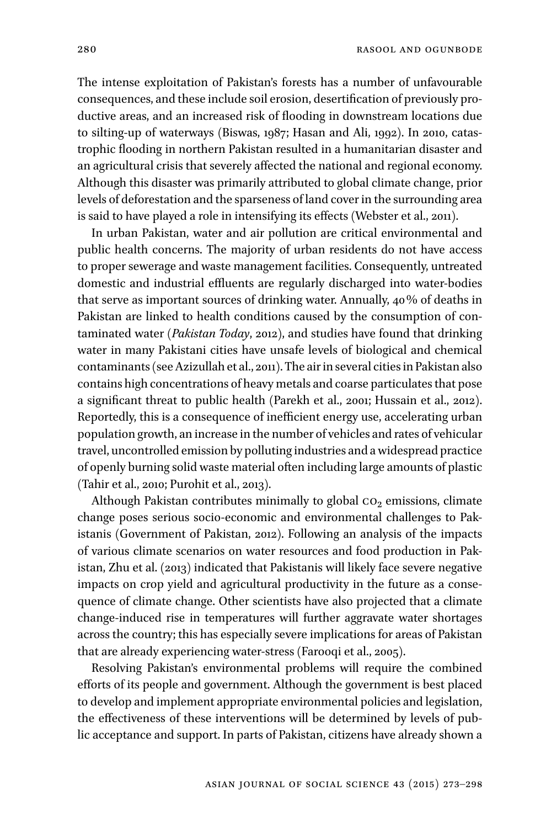The intense exploitation of Pakistan's forests has a number of unfavourable consequences, and these include soil erosion, desertification of previously productive areas, and an increased risk of flooding in downstream locations due to silting-up of waterways (Biswas, 1987; Hasan and Ali, 1992). In 2010, catastrophic flooding in northern Pakistan resulted in a humanitarian disaster and an agricultural crisis that severely affected the national and regional economy. Although this disaster was primarily attributed to global climate change, prior levels of deforestation and the sparseness of land cover in the surrounding area is said to have played a role in intensifying its effects (Webster et al., 2011).

In urban Pakistan, water and air pollution are critical environmental and public health concerns. The majority of urban residents do not have access to proper sewerage and waste management facilities. Consequently, untreated domestic and industrial effluents are regularly discharged into water-bodies that serve as important sources of drinking water. Annually, 40% of deaths in Pakistan are linked to health conditions caused by the consumption of contaminated water (*Pakistan Today*, 2012), and studies have found that drinking water in many Pakistani cities have unsafe levels of biological and chemical contaminants (see Azizullah et al., 2011). The air in several cities in Pakistan also contains high concentrations of heavy metals and coarse particulates that pose a significant threat to public health (Parekh et al., 2001; Hussain et al., 2012). Reportedly, this is a consequence of inefficient energy use, accelerating urban population growth, an increase in the number of vehicles and rates of vehicular travel, uncontrolled emission by polluting industries and a widespread practice of openly burning solid waste material often including large amounts of plastic (Tahir et al., 2010; Purohit et al., 2013).

Although Pakistan contributes minimally to global  $co<sub>2</sub>$  emissions, climate change poses serious socio-economic and environmental challenges to Pakistanis (Government of Pakistan, 2012). Following an analysis of the impacts of various climate scenarios on water resources and food production in Pakistan, Zhu et al. (2013) indicated that Pakistanis will likely face severe negative impacts on crop yield and agricultural productivity in the future as a consequence of climate change. Other scientists have also projected that a climate change-induced rise in temperatures will further aggravate water shortages across the country; this has especially severe implications for areas of Pakistan that are already experiencing water-stress (Farooqi et al., 2005).

Resolving Pakistan's environmental problems will require the combined efforts of its people and government. Although the government is best placed to develop and implement appropriate environmental policies and legislation, the effectiveness of these interventions will be determined by levels of public acceptance and support. In parts of Pakistan, citizens have already shown a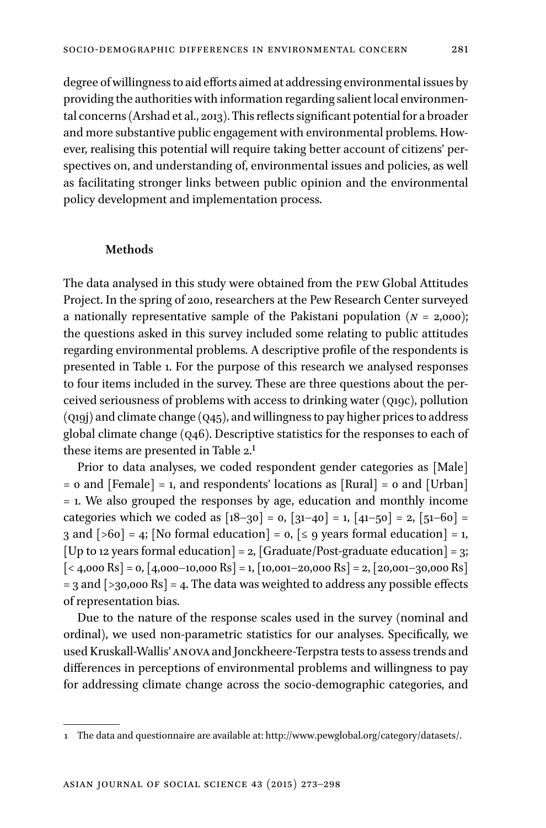degree of willingness to aid efforts aimed at addressing environmental issues by providing the authorities with information regarding salient local environmental concerns (Arshad et al., 2013). This reflects significant potential for a broader and more substantive public engagement with environmental problems. However, realising this potential will require taking better account of citizens' perspectives on, and understanding of, environmental issues and policies, as well as facilitating stronger links between public opinion and the environmental policy development and implementation process.

#### **Methods**

The data analysed in this study were obtained from the pew Global Attitudes Project. In the spring of 2010, researchers at the Pew Research Center surveyed a nationally representative sample of the Pakistani population (*n* = 2,000); the questions asked in this survey included some relating to public attitudes regarding environmental problems. A descriptive profile of the respondents is presented in Table 1. For the purpose of this research we analysed responses to four items included in the survey. These are three questions about the perceived seriousness of problems with access to drinking water (q19c), pollution (q19j) and climate change (q45), and willingness to pay higher prices to address global climate change (q46). Descriptive statistics for the responses to each of these items are presented in Table 2.1

Prior to data analyses, we coded respondent gender categories as [Male]  $=$  0 and [Female]  $=$  1, and respondents' locations as [Rural]  $=$  0 and [Urban] = 1. We also grouped the responses by age, education and monthly income categories which we coded as  $[18–30] = 0$ ,  $[31–40] = 1$ ,  $[41–50] = 2$ ,  $[51–60] =$ 3 and  $[>60] = 4$ ; [No formal education] = 0,  $[≤ 9$  years formal education] = 1, [Up to 12 years formal education] = 2, [Graduate/Post-graduate education] = 3;  $\left[ \langle 4,000 \text{ Rs} \right] = 0, \left[ 4,000 - 10,000 \text{ Rs} \right] = 1, \left[ 10,001 - 20,000 \text{ Rs} \right] = 2, \left[ 20,001 - 30,000 \text{ Rs} \right]$  $=$  3 and  $\left[$  >30,000 Rs $\right]$  = 4. The data was weighted to address any possible effects of representation bias.

Due to the nature of the response scales used in the survey (nominal and ordinal), we used non-parametric statistics for our analyses. Specifically, we used Kruskall-Wallis' anova and Jonckheere-Terpstra tests to assess trends and differences in perceptions of environmental problems and willingness to pay for addressing climate change across the socio-demographic categories, and

<sup>1</sup> The data and questionnaire are available at: [http://www.pewglobal.org/category/datasets/.](http://www.pewglobal.org/category/datasets/)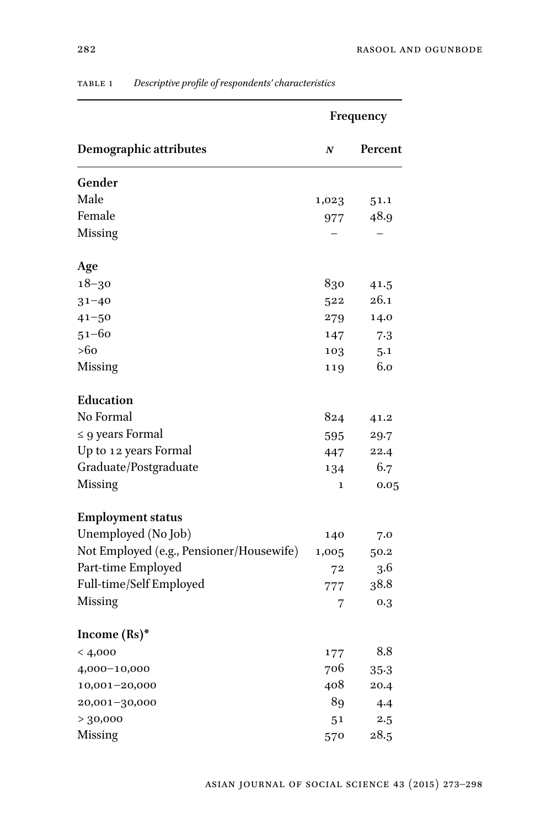|                                          |                  | Frequency |
|------------------------------------------|------------------|-----------|
| <b>Demographic attributes</b>            | $\boldsymbol{N}$ | Percent   |
| Gender                                   |                  |           |
| Male                                     | 1,023            | 51.1      |
| Female                                   | 977              | 48.9      |
| Missing                                  |                  |           |
| Age                                      |                  |           |
| $18 - 30$                                | 830              | 41.5      |
| $31 - 40$                                | 522              | 26.1      |
| $41 - 50$                                | 279              | 14.0      |
| $51 - 60$                                | 147              | 7.3       |
| >60                                      | 103              | 5.1       |
| <b>Missing</b>                           | 119              | 6.0       |
| Education                                |                  |           |
| No Formal                                | 824              | 41.2      |
| $\leq$ 9 years Formal                    | 595              | 29.7      |
| Up to 12 years Formal                    | 447              | 22.4      |
| Graduate/Postgraduate                    | 134              | 6.7       |
| Missing                                  | 1                | 0.05      |
| <b>Employment status</b>                 |                  |           |
| Unemployed (No Job)                      | 140              | 7.0       |
| Not Employed (e.g., Pensioner/Housewife) | 1,005            | 50.2      |
| Part-time Employed                       | 72               | 3.6       |
| Full-time/Self Employed                  | 777              | 38.8      |
| Missing                                  | 7                | 0.3       |
| Income $(Rs)^*$                          |                  |           |
| < 4,000                                  | 177              | 8.8       |
| 4,000-10,000                             | 706              | $35-3$    |
| 10,001-20,000                            | 408              | 20.4      |
| 20,001-30,000                            | 89               | 4.4       |
| > 30,000                                 | 5 <sup>1</sup>   | 2.5       |
| Missing                                  | 570              | 28.5      |

## table 1 *Descriptive profile of respondents' characteristics*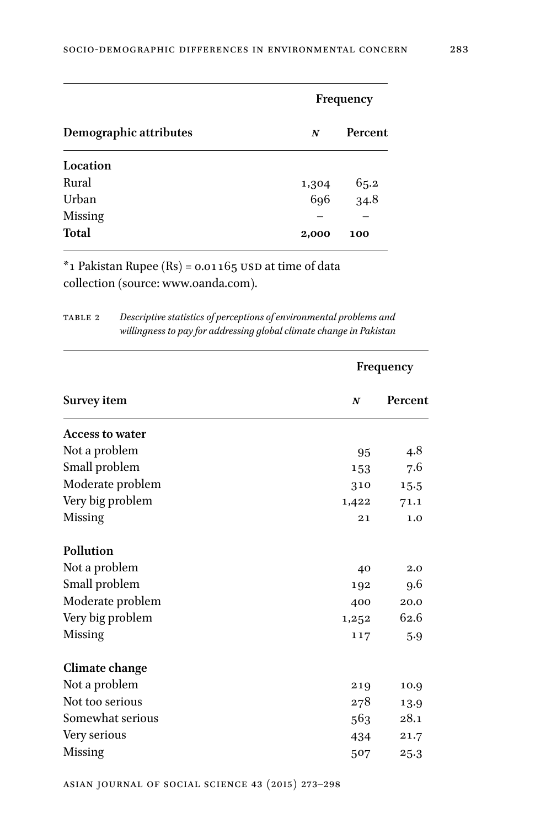| Demographic attributes |       | Frequency      |  |  |  |
|------------------------|-------|----------------|--|--|--|
|                        | N     | Percent        |  |  |  |
| Location               |       |                |  |  |  |
| Rural                  | 1,304 |                |  |  |  |
| Urban                  | 696   | $65.2$<br>34.8 |  |  |  |
| <b>Missing</b>         |       |                |  |  |  |
| <b>Total</b>           | 2,000 | 100            |  |  |  |

 $*$ 1 Pakistan Rupee (Rs) = 0.01165 USD at time of data collection (source: [www.oanda.com\)](http://www.oanda.com).

| TABLE 2 | Descriptive statistics of perceptions of environmental problems and |
|---------|---------------------------------------------------------------------|
|         | willingness to pay for addressing global climate change in Pakistan |

|                        |                  | Frequency |  |
|------------------------|------------------|-----------|--|
| Survey item            | $\boldsymbol{N}$ | Percent   |  |
| <b>Access to water</b> |                  |           |  |
| Not a problem          | 95               | 4.8       |  |
| Small problem          | 153              | 7.6       |  |
| Moderate problem       | 310              | 15.5      |  |
| Very big problem       | 1,422            | 71.1      |  |
| <b>Missing</b>         | 21               | 1.0       |  |
| Pollution              |                  |           |  |
| Not a problem          | 40               | 2.0       |  |
| Small problem          | 192              | 9.6       |  |
| Moderate problem       | 400              | 20.0      |  |
| Very big problem       | 1,252            | 62.6      |  |
| <b>Missing</b>         | 117              | 5.9       |  |
| Climate change         |                  |           |  |
| Not a problem          | 219              | 10.9      |  |
| Not too serious        | 278              | 13.9      |  |
| Somewhat serious       | 563              | 28.1      |  |
| Very serious           | 434              | 21.7      |  |
| Missing                | 507              | 25.3      |  |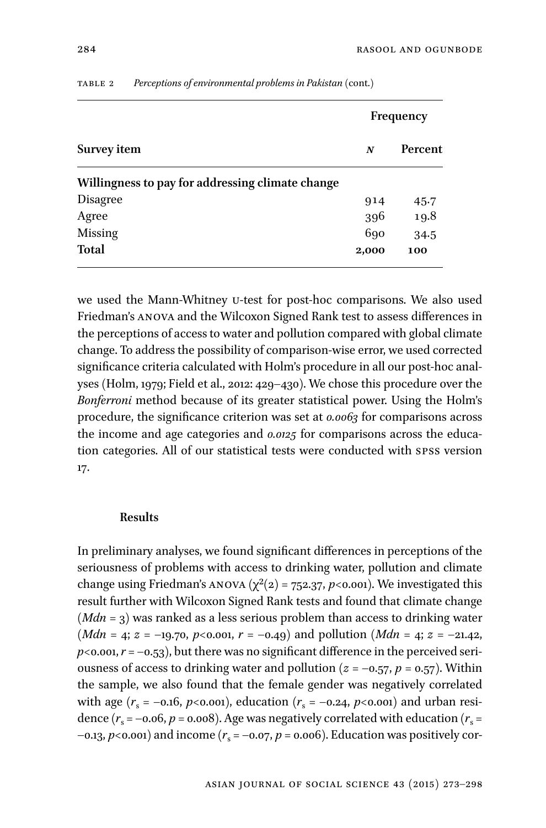|                                                  | Frequency |         |  |
|--------------------------------------------------|-----------|---------|--|
| Survey item                                      | N         | Percent |  |
| Willingness to pay for addressing climate change |           |         |  |
| <b>Disagree</b>                                  | 914       | 45.7    |  |
| Agree                                            | 396       | 19.8    |  |
| <b>Missing</b>                                   | 690       | 34.5    |  |
| <b>Total</b>                                     | 2,000     | 100     |  |

table 2 *Perceptions of environmental problems in Pakistan* (cont.)

we used the Mann-Whitney u-test for post-hoc comparisons. We also used Friedman's anova and the Wilcoxon Signed Rank test to assess differences in the perceptions of access to water and pollution compared with global climate change. To address the possibility of comparison-wise error, we used corrected significance criteria calculated with Holm's procedure in all our post-hoc analyses (Holm, 1979; Field et al., 2012: 429–430). We chose this procedure over the *Bonferroni* method because of its greater statistical power. Using the Holm's procedure, the significance criterion was set at *0.0063* for comparisons across the income and age categories and *0.0125* for comparisons across the education categories. All of our statistical tests were conducted with spss version 17.

## **Results**

In preliminary analyses, we found significant differences in perceptions of the seriousness of problems with access to drinking water, pollution and climate change using Friedman's ANOVA ( $\chi^2(2)$  = 752.37, *p*<0.001). We investigated this result further with Wilcoxon Signed Rank tests and found that climate change (*Mdn* = 3) was ranked as a less serious problem than access to drinking water (*Mdn* = 4;  $z = -19.70$ ,  $p < 0.001$ ,  $r = -0.49$ ) and pollution (*Mdn* = 4;  $z = -21.42$ ,  $p$ <0.001,  $r$  = -0.53), but there was no significant difference in the perceived seriousness of access to drinking water and pollution ( $z = -0.57$ ,  $p = 0.57$ ). Within the sample, we also found that the female gender was negatively correlated with age  $(r_s = -0.16, p < 0.001)$ , education  $(r_s = -0.24, p < 0.001)$  and urban residence  $(r_s = -0.06, p = 0.008)$ . Age was negatively correlated with education  $(r_s =$  $-0.13$ ,  $p<0.001$  and income ( $r<sub>s</sub> = -0.07$ ,  $p = 0.006$ ). Education was positively cor-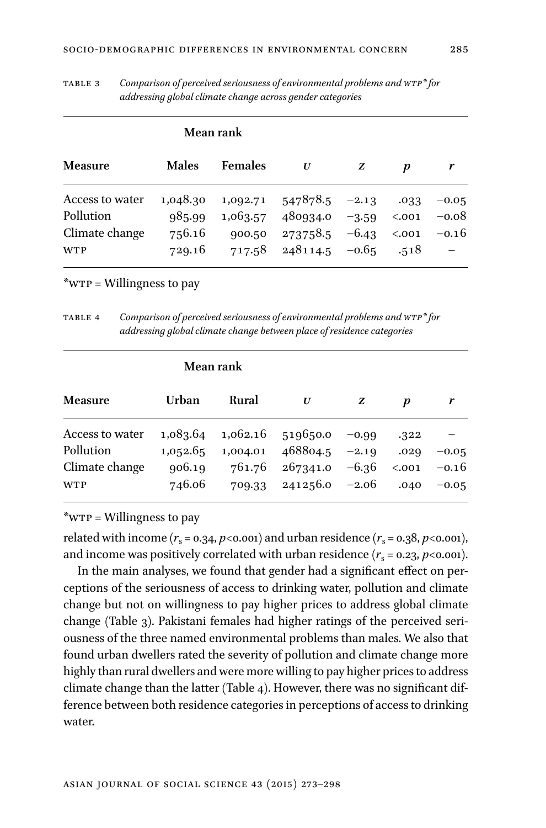|                                                              |                                        | <b>Mean rank</b>   |                                                                                          |   |                                         |                               |
|--------------------------------------------------------------|----------------------------------------|--------------------|------------------------------------------------------------------------------------------|---|-----------------------------------------|-------------------------------|
| <b>Measure</b>                                               | <b>Males</b>                           | <b>Females</b>     | U                                                                                        | z | D                                       |                               |
| Access to water<br>Pollution<br>Climate change<br><b>WTP</b> | 1,048.30<br>985.99<br>756.16<br>729.16 | 1,063.57<br>900.50 | $1,092.71$ $547878.5$ $-2.13$<br>480934.0<br>$273758.5 -6.43$<br>$717.58$ 248114.5 -0.65 |   | .033<br>$-3.59$ <.001<br>< .001<br>.518 | $-0.05$<br>$-0.08$<br>$-0.16$ |

table 3 *Comparison of perceived seriousness of environmental problems and wtp\* for addressing global climate change across gender categories*

\*wtp = Willingness to pay

table 4 *Comparison of perceived seriousness of environmental problems and wtp\* for addressing global climate change between place of residence categories*

|                 |          | Mean rank |                  |         |        |         |
|-----------------|----------|-----------|------------------|---------|--------|---------|
| <b>Measure</b>  | Urban    | Rural     | U                | z       | p      |         |
| Access to water | 1,083.64 | 1,062.16  | 519650.0         | $-0.99$ | .322   | $-0.05$ |
| Pollution       | 1,052.65 | 1,004.01  | 468804.5         | $-2.19$ | .029   |         |
| Climate change  | 906.19   | 761.76    | 267341.0         | $-6.36$ | < .001 | $-0.16$ |
| <b>WTP</b>      | 746.06   | 709.33    | $241256.0 -2.06$ |         | .040   | $-0.05$ |

\*wtp = Willingness to pay

related with income  $(r_s = 0.34, p < 0.001)$  and urban residence  $(r_s = 0.38, p < 0.001)$ , and income was positively correlated with urban residence  $(r_s = 0.23, p < 0.001)$ .

In the main analyses, we found that gender had a significant effect on perceptions of the seriousness of access to drinking water, pollution and climate change but not on willingness to pay higher prices to address global climate change (Table 3). Pakistani females had higher ratings of the perceived seriousness of the three named environmental problems than males. We also that found urban dwellers rated the severity of pollution and climate change more highly than rural dwellers and were more willing to pay higher prices to address climate change than the latter (Table 4). However, there was no significant difference between both residence categories in perceptions of access to drinking water.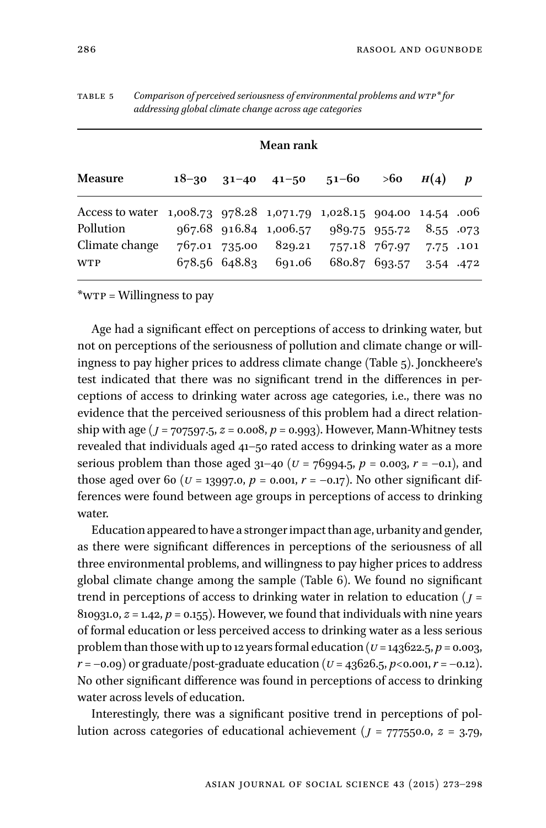| Mean rank                                                                                          |  |               |                                  |                                 |                                          |               |                  |
|----------------------------------------------------------------------------------------------------|--|---------------|----------------------------------|---------------------------------|------------------------------------------|---------------|------------------|
| <b>Measure</b>                                                                                     |  |               |                                  | $18-30$ $31-40$ $41-50$ $51-60$ |                                          | $>60$ $H(4)$  | $\boldsymbol{p}$ |
| Access to water 1,008.73 978.28 1,071.79 1,028.15 904.00 14.54 .006<br>Pollution<br>Climate change |  | 767.01 735.00 | 967.68 916.84 1,006.57<br>829.21 |                                 | 989.75 955.72<br>757.18 767.97 7.75 .101 | 8.55.073      |                  |
| <b>WTP</b>                                                                                         |  |               | 678.56 648.83 691.06             |                                 | 680.87 693.57                            | $3.54$ $.472$ |                  |

table 5 *Comparison of perceived seriousness of environmental problems and wtp\* for addressing global climate change across age categories*

\*wtp = Willingness to pay

Age had a significant effect on perceptions of access to drinking water, but not on perceptions of the seriousness of pollution and climate change or willingness to pay higher prices to address climate change (Table 5). Jonckheere's test indicated that there was no significant trend in the differences in perceptions of access to drinking water across age categories, i.e., there was no evidence that the perceived seriousness of this problem had a direct relationship with age (*j* = 707597.5, *z* = 0.008, *p* = 0.993). However, Mann-Whitney tests revealed that individuals aged 41–50 rated access to drinking water as a more serious problem than those aged  $31-40$  ( $U = 76994.5$ ,  $p = 0.003$ ,  $r = -0.1$ ), and those aged over 60 ( $U = 13997.0$ ,  $p = 0.001$ ,  $r = -0.17$ ). No other significant differences were found between age groups in perceptions of access to drinking water.

Education appeared to have a stronger impact than age, urbanity and gender, as there were significant differences in perceptions of the seriousness of all three environmental problems, and willingness to pay higher prices to address global climate change among the sample (Table 6). We found no significant trend in perceptions of access to drinking water in relation to education (*j* =  $810931.0, z = 1.42, p = 0.155$ . However, we found that individuals with nine years of formal education or less perceived access to drinking water as a less serious problem than those with up to 12 years formal education ( $u = 143622.5$ ,  $p = 0.003$ , *r* = –0.09) or graduate/post-graduate education (*v* = 43626.5, *p*<0.001, *r* = –0.12). No other significant difference was found in perceptions of access to drinking water across levels of education.

Interestingly, there was a significant positive trend in perceptions of pollution across categories of educational achievement (*j* = 777550.0, *z* = 3.79,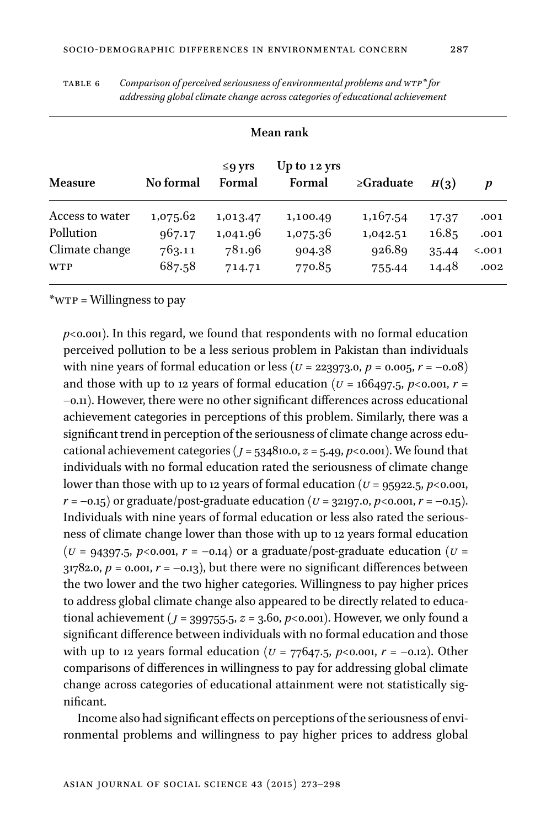| <b>Mean rank</b> |           |                        |                          |                 |       |        |  |
|------------------|-----------|------------------------|--------------------------|-----------------|-------|--------|--|
| <b>Measure</b>   | No formal | $\leq$ q vrs<br>Formal | Up to $12$ yrs<br>Formal | $\geq$ Graduate | H(3)  | p      |  |
| Access to water  | 1,075.62  | 1,013.47               | 1,100.49                 | 1,167.54        | 17.37 | .001   |  |
| Pollution        | 967.17    | 1,041.96               | 1,075.36                 | 1,042.51        | 16.85 | .001   |  |
| Climate change   | 763.11    | 781.96                 | 904.38                   | 926.89          | 35.44 | < .001 |  |
| <b>WTP</b>       | 687.58    | 714.71                 | 770.85                   | 755.44          | 14.48 | .002   |  |

table 6 *Comparison of perceived seriousness of environmental problems and wtp\* for addressing global climate change across categories of educational achievement*

\*wtp = Willingness to pay

 $p$ <0.001). In this regard, we found that respondents with no formal education perceived pollution to be a less serious problem in Pakistan than individuals with nine years of formal education or less ( $U = 223973.0, p = 0.005, r = -0.08$ ) and those with up to 12 years of formal education ( $U = 166497.5$ ,  $p < 0.001$ ,  $r =$ –0.11). However, there were no other significant differences across educational achievement categories in perceptions of this problem. Similarly, there was a significant trend in perception of the seriousness of climate change across educational achievement categories ( $j = 534810.0$ ,  $z = 5.49$ ,  $p < 0.001$ ). We found that individuals with no formal education rated the seriousness of climate change lower than those with up to 12 years of formal education ( $U = 95922.5$ ,  $p < 0.001$ , *r* = –0.15) or graduate/post-graduate education (*U* = 32197.0, *p*<0.001, *r* = –0.15). Individuals with nine years of formal education or less also rated the seriousness of climate change lower than those with up to 12 years formal education  $(U = 94397.5, p < 0.001, r = -0.14)$  or a graduate/post-graduate education  $(U =$  $31782.0, p = 0.001, r = -0.13$ , but there were no significant differences between the two lower and the two higher categories. Willingness to pay higher prices to address global climate change also appeared to be directly related to educational achievement ( $j = 399755.5$ ,  $z = 3.60$ ,  $p < 0.001$ ). However, we only found a significant difference between individuals with no formal education and those with up to 12 years formal education (*u* = 77647.5, *p*<0.001, *r* = –0.12). Other comparisons of differences in willingness to pay for addressing global climate change across categories of educational attainment were not statistically significant.

Income also had significant effects on perceptions of the seriousness of environmental problems and willingness to pay higher prices to address global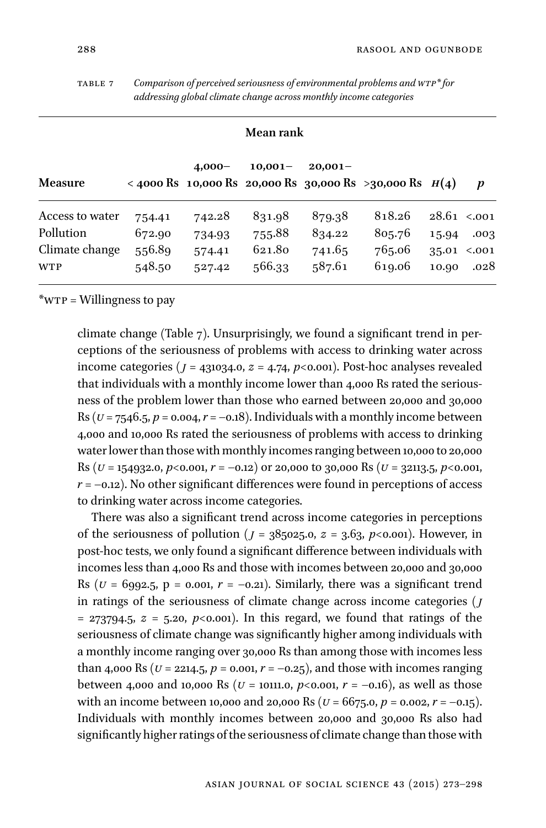table 7 *Comparison of perceived seriousness of environmental problems and wtp\* for addressing global climate change across monthly income categories*

#### **Mean rank**

| <b>Measure</b>               |                  | $4,000-$         | $10,001-$        | $20,001-$        | < 4000 Rs 10,000 Rs 20,000 Rs 30,000 Rs >30,000 Rs $H(4)$ |                |                |
|------------------------------|------------------|------------------|------------------|------------------|-----------------------------------------------------------|----------------|----------------|
| Access to water              | 754.41           | 742.28           | 831.98           | 879.38           | 818.26                                                    | $28.61$ <.001  |                |
| Pollution                    | 672.90           | 734.93           | 755.88           | 834.22           | 805.76                                                    | 15.94          | .003           |
| Climate change<br><b>WTP</b> | 556.89<br>548.50 | 574.41<br>527.42 | 621.80<br>566.33 | 741.65<br>587.61 | 765.06<br>619.06                                          | 35.01<br>10.90 | < .001<br>.028 |
|                              |                  |                  |                  |                  |                                                           |                |                |

\*wtp = Willingness to pay

climate change (Table 7). Unsurprisingly, we found a significant trend in perceptions of the seriousness of problems with access to drinking water across income categories ( $j = 431034.0$ ,  $z = 4.74$ ,  $p < 0.001$ ). Post-hoc analyses revealed that individuals with a monthly income lower than 4,000 Rs rated the seriousness of the problem lower than those who earned between 20,000 and 30,000 Rs ( $u = 7546.5$ ,  $p = 0.004$ ,  $r = -0.18$ ). Individuals with a monthly income between 4,000 and 10,000 Rs rated the seriousness of problems with access to drinking water lower than those with monthly incomes ranging between 10,000 to 20,000 Rs ( $U = 154932.0$ ,  $p < 0.001$ ,  $r = -0.12$ ) or 20,000 to 30,000 Rs ( $U = 32113.5$ ,  $p < 0.001$ ,  $r = -0.12$ ). No other significant differences were found in perceptions of access to drinking water across income categories.

There was also a significant trend across income categories in perceptions of the seriousness of pollution ( $j = 385025.0$ ,  $z = 3.63$ ,  $p < 0.001$ ). However, in post-hoc tests, we only found a significant difference between individuals with incomes less than 4,000 Rs and those with incomes between 20,000 and 30,000 Rs ( $U = 6992.5$ ,  $p = 0.001$ ,  $r = -0.21$ ). Similarly, there was a significant trend in ratings of the seriousness of climate change across income categories (*j*  $= 273794.5$ ,  $z = 5.20$ ,  $p < 0.001$ ). In this regard, we found that ratings of the seriousness of climate change was significantly higher among individuals with a monthly income ranging over 30,000 Rs than among those with incomes less than 4,000 Rs ( $U = 2214.5$ ,  $p = 0.001$ ,  $r = -0.25$ ), and those with incomes ranging between 4,000 and 10,000 Rs ( $U = 10111.0$ ,  $p < 0.001$ ,  $r = -0.16$ ), as well as those with an income between 10,000 and 20,000 Rs (*u* = 6675.0, *p* = 0.002, *r* = –0.15). Individuals with monthly incomes between 20,000 and 30,000 Rs also had significantly higher ratings of the seriousness of climate change than those with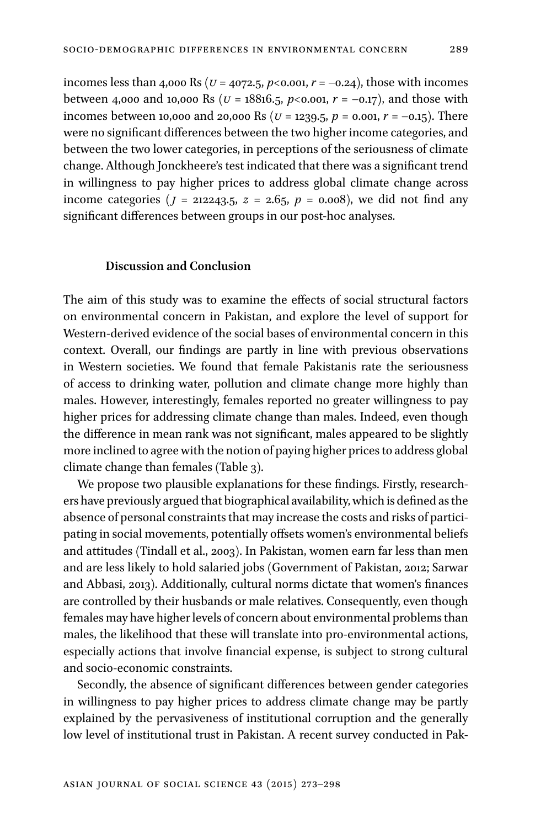incomes less than 4,000 Rs ( $U = 4072.5$ ,  $p < 0.001$ ,  $r = -0.24$ ), those with incomes between 4,000 and 10,000 Rs ( $U = 18816.5$ ,  $p < 0.001$ ,  $r = -0.17$ ), and those with incomes between 10,000 and 20,000 Rs (*u* = 1239.5, *p* = 0.001, *r* = –0.15). There were no significant differences between the two higher income categories, and between the two lower categories, in perceptions of the seriousness of climate change. Although Jonckheere's test indicated that there was a significant trend in willingness to pay higher prices to address global climate change across income categories ( $j = 212243.5$ ,  $z = 2.65$ ,  $p = 0.008$ ), we did not find any significant differences between groups in our post-hoc analyses.

#### **Discussion and Conclusion**

The aim of this study was to examine the effects of social structural factors on environmental concern in Pakistan, and explore the level of support for Western-derived evidence of the social bases of environmental concern in this context. Overall, our findings are partly in line with previous observations in Western societies. We found that female Pakistanis rate the seriousness of access to drinking water, pollution and climate change more highly than males. However, interestingly, females reported no greater willingness to pay higher prices for addressing climate change than males. Indeed, even though the difference in mean rank was not significant, males appeared to be slightly more inclined to agree with the notion of paying higher prices to address global climate change than females (Table 3).

We propose two plausible explanations for these findings. Firstly, researchers have previously argued that biographical availability, which is defined as the absence of personal constraints that may increase the costs and risks of participating in social movements, potentially offsets women's environmental beliefs and attitudes (Tindall et al., 2003). In Pakistan, women earn far less than men and are less likely to hold salaried jobs (Government of Pakistan, 2012; Sarwar and Abbasi, 2013). Additionally, cultural norms dictate that women's finances are controlled by their husbands or male relatives. Consequently, even though females may have higher levels of concern about environmental problems than males, the likelihood that these will translate into pro-environmental actions, especially actions that involve financial expense, is subject to strong cultural and socio-economic constraints.

Secondly, the absence of significant differences between gender categories in willingness to pay higher prices to address climate change may be partly explained by the pervasiveness of institutional corruption and the generally low level of institutional trust in Pakistan. A recent survey conducted in Pak-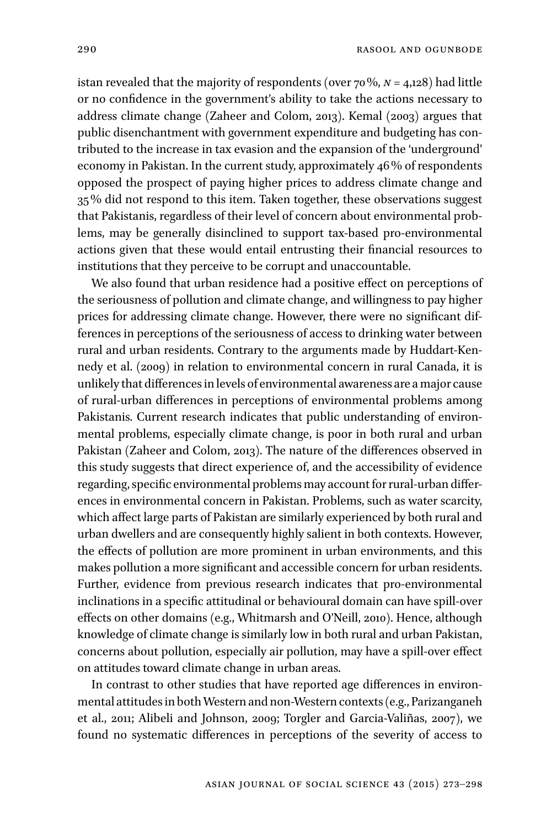istan revealed that the majority of respondents (over 70%, *n* = 4,128) had little or no confidence in the government's ability to take the actions necessary to address climate change (Zaheer and Colom, 2013). Kemal (2003) argues that public disenchantment with government expenditure and budgeting has contributed to the increase in tax evasion and the expansion of the 'underground' economy in Pakistan. In the current study, approximately 46% of respondents opposed the prospect of paying higher prices to address climate change and 35% did not respond to this item. Taken together, these observations suggest that Pakistanis, regardless of their level of concern about environmental problems, may be generally disinclined to support tax-based pro-environmental actions given that these would entail entrusting their financial resources to institutions that they perceive to be corrupt and unaccountable.

We also found that urban residence had a positive effect on perceptions of the seriousness of pollution and climate change, and willingness to pay higher prices for addressing climate change. However, there were no significant differences in perceptions of the seriousness of access to drinking water between rural and urban residents. Contrary to the arguments made by Huddart-Kennedy et al. (2009) in relation to environmental concern in rural Canada, it is unlikely that differences in levels of environmental awareness are a major cause of rural-urban differences in perceptions of environmental problems among Pakistanis. Current research indicates that public understanding of environmental problems, especially climate change, is poor in both rural and urban Pakistan (Zaheer and Colom, 2013). The nature of the differences observed in this study suggests that direct experience of, and the accessibility of evidence regarding, specific environmental problems may account for rural-urban differences in environmental concern in Pakistan. Problems, such as water scarcity, which affect large parts of Pakistan are similarly experienced by both rural and urban dwellers and are consequently highly salient in both contexts. However, the effects of pollution are more prominent in urban environments, and this makes pollution a more significant and accessible concern for urban residents. Further, evidence from previous research indicates that pro-environmental inclinations in a specific attitudinal or behavioural domain can have spill-over effects on other domains (e.g., Whitmarsh and O'Neill, 2010). Hence, although knowledge of climate change is similarly low in both rural and urban Pakistan, concerns about pollution, especially air pollution, may have a spill-over effect on attitudes toward climate change in urban areas.

In contrast to other studies that have reported age differences in environmental attitudes in bothWestern and non-Western contexts (e.g., Parizanganeh et al., 2011; Alibeli and Johnson, 2009; Torgler and Garcia-Valiñas, 2007), we found no systematic differences in perceptions of the severity of access to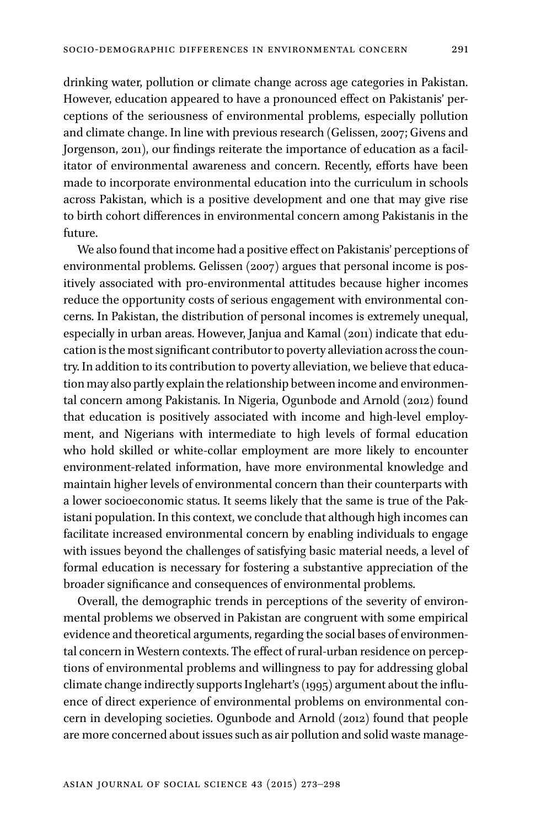drinking water, pollution or climate change across age categories in Pakistan. However, education appeared to have a pronounced effect on Pakistanis' perceptions of the seriousness of environmental problems, especially pollution and climate change. In line with previous research (Gelissen, 2007; Givens and Jorgenson, 2011), our findings reiterate the importance of education as a facilitator of environmental awareness and concern. Recently, efforts have been made to incorporate environmental education into the curriculum in schools across Pakistan, which is a positive development and one that may give rise to birth cohort differences in environmental concern among Pakistanis in the future.

We also found that income had a positive effect on Pakistanis' perceptions of environmental problems. Gelissen (2007) argues that personal income is positively associated with pro-environmental attitudes because higher incomes reduce the opportunity costs of serious engagement with environmental concerns. In Pakistan, the distribution of personal incomes is extremely unequal, especially in urban areas. However, Janjua and Kamal (2011) indicate that education is the most significant contributor to poverty alleviation across the country. In addition to its contribution to poverty alleviation, we believe that education may also partly explain the relationship between income and environmental concern among Pakistanis. In Nigeria, Ogunbode and Arnold (2012) found that education is positively associated with income and high-level employment, and Nigerians with intermediate to high levels of formal education who hold skilled or white-collar employment are more likely to encounter environment-related information, have more environmental knowledge and maintain higher levels of environmental concern than their counterparts with a lower socioeconomic status. It seems likely that the same is true of the Pakistani population. In this context, we conclude that although high incomes can facilitate increased environmental concern by enabling individuals to engage with issues beyond the challenges of satisfying basic material needs, a level of formal education is necessary for fostering a substantive appreciation of the broader significance and consequences of environmental problems.

Overall, the demographic trends in perceptions of the severity of environmental problems we observed in Pakistan are congruent with some empirical evidence and theoretical arguments, regarding the social bases of environmental concern in Western contexts. The effect of rural-urban residence on perceptions of environmental problems and willingness to pay for addressing global climate change indirectly supports Inglehart's (1995) argument about the influence of direct experience of environmental problems on environmental concern in developing societies. Ogunbode and Arnold (2012) found that people are more concerned about issues such as air pollution and solid waste manage-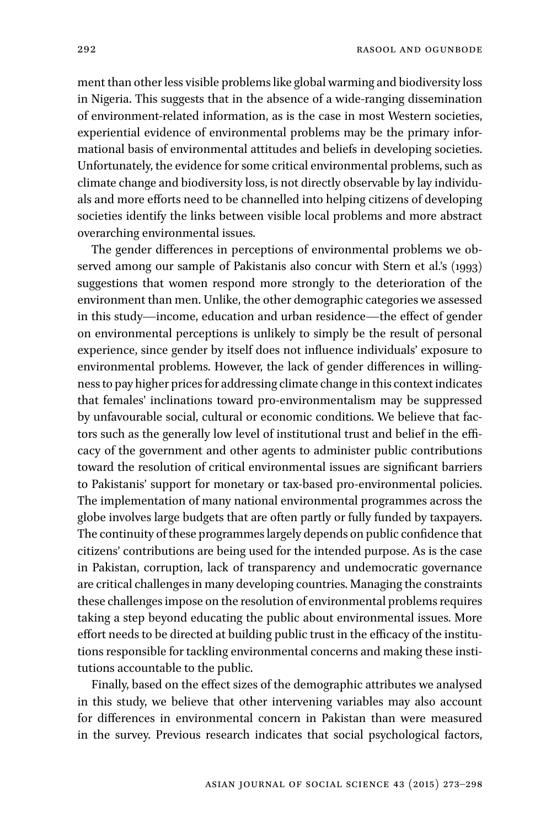ment than other less visible problems like global warming and biodiversity loss in Nigeria. This suggests that in the absence of a wide-ranging dissemination of environment-related information, as is the case in most Western societies, experiential evidence of environmental problems may be the primary informational basis of environmental attitudes and beliefs in developing societies. Unfortunately, the evidence for some critical environmental problems, such as climate change and biodiversity loss, is not directly observable by lay individuals and more efforts need to be channelled into helping citizens of developing societies identify the links between visible local problems and more abstract overarching environmental issues.

The gender differences in perceptions of environmental problems we observed among our sample of Pakistanis also concur with Stern et al.'s (1993) suggestions that women respond more strongly to the deterioration of the environment than men. Unlike, the other demographic categories we assessed in this study—income, education and urban residence—the effect of gender on environmental perceptions is unlikely to simply be the result of personal experience, since gender by itself does not influence individuals' exposure to environmental problems. However, the lack of gender differences in willingness to pay higher prices for addressing climate change in this context indicates that females' inclinations toward pro-environmentalism may be suppressed by unfavourable social, cultural or economic conditions. We believe that factors such as the generally low level of institutional trust and belief in the efficacy of the government and other agents to administer public contributions toward the resolution of critical environmental issues are significant barriers to Pakistanis' support for monetary or tax-based pro-environmental policies. The implementation of many national environmental programmes across the globe involves large budgets that are often partly or fully funded by taxpayers. The continuity of these programmes largely depends on public confidence that citizens' contributions are being used for the intended purpose. As is the case in Pakistan, corruption, lack of transparency and undemocratic governance are critical challenges in many developing countries. Managing the constraints these challenges impose on the resolution of environmental problems requires taking a step beyond educating the public about environmental issues. More effort needs to be directed at building public trust in the efficacy of the institutions responsible for tackling environmental concerns and making these institutions accountable to the public.

Finally, based on the effect sizes of the demographic attributes we analysed in this study, we believe that other intervening variables may also account for differences in environmental concern in Pakistan than were measured in the survey. Previous research indicates that social psychological factors,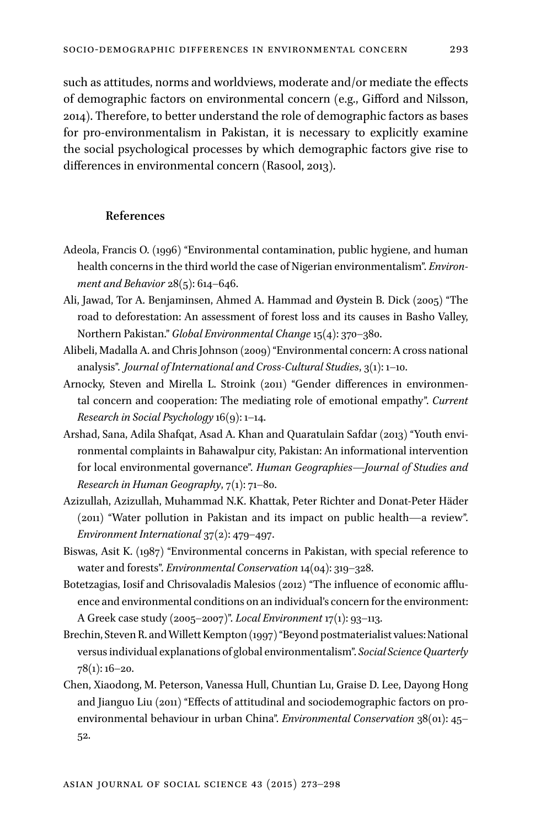such as attitudes, norms and worldviews, moderate and/or mediate the effects of demographic factors on environmental concern (e.g., Gifford and Nilsson, 2014). Therefore, to better understand the role of demographic factors as bases for pro-environmentalism in Pakistan, it is necessary to explicitly examine the social psychological processes by which demographic factors give rise to differences in environmental concern (Rasool, 2013).

#### **References**

- Adeola, Francis O. (1996) "Environmental contamination, public hygiene, and human health concerns in the third world the case of Nigerian environmentalism". *Environment and Behavior* 28(5): 614–646.
- Ali, Jawad, Tor A. Benjaminsen, Ahmed A. Hammad and Øystein B. Dick (2005) "The road to deforestation: An assessment of forest loss and its causes in Basho Valley, Northern Pakistan." *Global Environmental Change*15(4): 370–380.
- Alibeli, Madalla A. and Chris Johnson (2009) "Environmental concern: A cross national analysis". *Journal of International and Cross-Cultural Studies*, 3(1): 1–10.
- Arnocky, Steven and Mirella L. Stroink (2011) "Gender differences in environmental concern and cooperation: The mediating role of emotional empathy". *Current Research in Social Psychology* 16(9): 1–14.
- Arshad, Sana, Adila Shafqat, Asad A. Khan and Quaratulain Safdar (2013) "Youth environmental complaints in Bahawalpur city, Pakistan: An informational intervention for local environmental governance". *Human Geographies—Journal of Studies and Research in Human Geography*, 7(1): 71–80.
- Azizullah, Azizullah, Muhammad N.K. Khattak, Peter Richter and Donat-Peter Häder (2011) "Water pollution in Pakistan and its impact on public health—a review". *Environment International* 37(2): 479–497.
- Biswas, Asit K. (1987) "Environmental concerns in Pakistan, with special reference to water and forests". *Environmental Conservation* 14(04): 319–328.
- Botetzagias, Iosif and Chrisovaladis Malesios (2012) "The influence of economic affluence and environmental conditions on an individual's concern for the environment: A Greek case study (2005–2007)". *Local Environment* 17(1): 93–113.
- Brechin, Steven R. andWillett Kempton (1997)"Beyond postmaterialist values: National versus individual explanations of global environmentalism". *Social Science Quarterly* 78(1): 16–20.
- Chen, Xiaodong, M. Peterson, Vanessa Hull, Chuntian Lu, Graise D. Lee, Dayong Hong and Jianguo Liu (2011) "Effects of attitudinal and sociodemographic factors on proenvironmental behaviour in urban China". *Environmental Conservation* 38(01): 45– 52.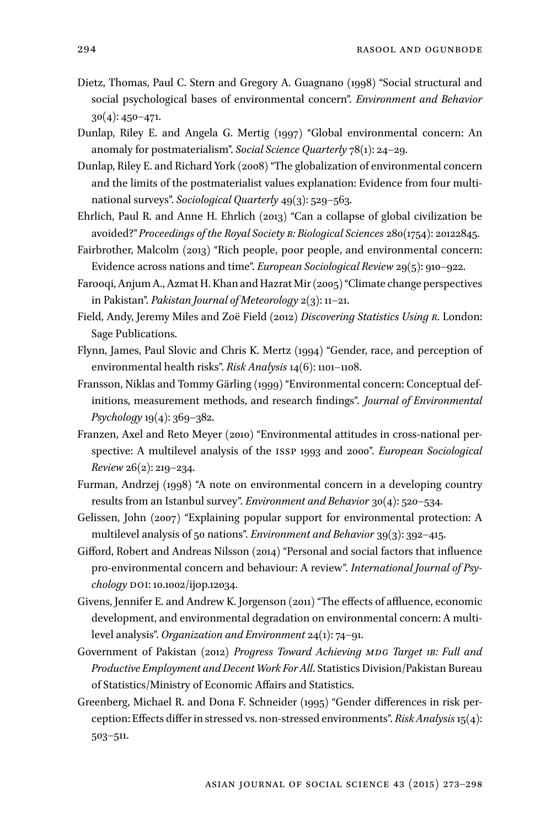- Dietz, Thomas, Paul C. Stern and Gregory A. Guagnano (1998) "Social structural and social psychological bases of environmental concern". *Environment and Behavior* 30(4): 450–471.
- Dunlap, Riley E. and Angela G. Mertig (1997) "Global environmental concern: An anomaly for postmaterialism". *Social Science Quarterly* 78(1): 24–29.
- Dunlap, Riley E. and Richard York (2008) "The globalization of environmental concern and the limits of the postmaterialist values explanation: Evidence from four multinational surveys". *Sociological Quarterly* 49(3): 529–563.
- Ehrlich, Paul R. and Anne H. Ehrlich (2013) "Can a collapse of global civilization be avoided?" *Proceedings of the Royal Society b: Biological Sciences* 280(1754): 20122845.
- Fairbrother, Malcolm (2013) "Rich people, poor people, and environmental concern: Evidence across nations and time". *European Sociological Review* 29(5): 910–922.
- Farooqi, Anjum A., Azmat H. Khan and Hazrat Mir (2005)"Climate change perspectives in Pakistan". *Pakistan Journal of Meteorology* 2(3): 11–21.
- Field, Andy, Jeremy Miles and Zoë Field (2012) *Discovering Statistics Using r*. London: Sage Publications.
- Flynn, James, Paul Slovic and Chris K. Mertz (1994) "Gender, race, and perception of environmental health risks". *Risk Analysis* 14(6): 1101–1108.
- Fransson, Niklas and Tommy Gärling (1999) "Environmental concern: Conceptual definitions, measurement methods, and research findings". *Journal of Environmental Psychology* 19(4): 369–382.
- Franzen, Axel and Reto Meyer (2010) "Environmental attitudes in cross-national perspective: A multilevel analysis of the issp 1993 and 2000". *European Sociological Review* 26(2): 219–234.
- Furman, Andrzej (1998) "A note on environmental concern in a developing country results from an Istanbul survey". *Environment and Behavior* 30(4): 520–534.
- Gelissen, John (2007) "Explaining popular support for environmental protection: A multilevel analysis of 50 nations". *Environment and Behavior* 39(3): 392–415.
- Gifford, Robert and Andreas Nilsson (2014) "Personal and social factors that influence pro-environmental concern and behaviour: A review". *International Journal of Psychology* doi: 10.1002/ijop.12034.
- Givens, Jennifer E. and Andrew K. Jorgenson (2011) "The effects of affluence, economic development, and environmental degradation on environmental concern: A multilevel analysis". *Organization and Environment* 24(1): 74–91.
- Government of Pakistan (2012) Progress Toward Achieving MDG Target 1B: Full and *Productive Employment and Decent Work For All*. Statistics Division/Pakistan Bureau of Statistics/Ministry of Economic Affairs and Statistics.
- Greenberg, Michael R. and Dona F. Schneider (1995) "Gender differences in risk perception: Effects differ in stressed vs. non-stressed environments". *Risk Analysis*15(4): 503–511.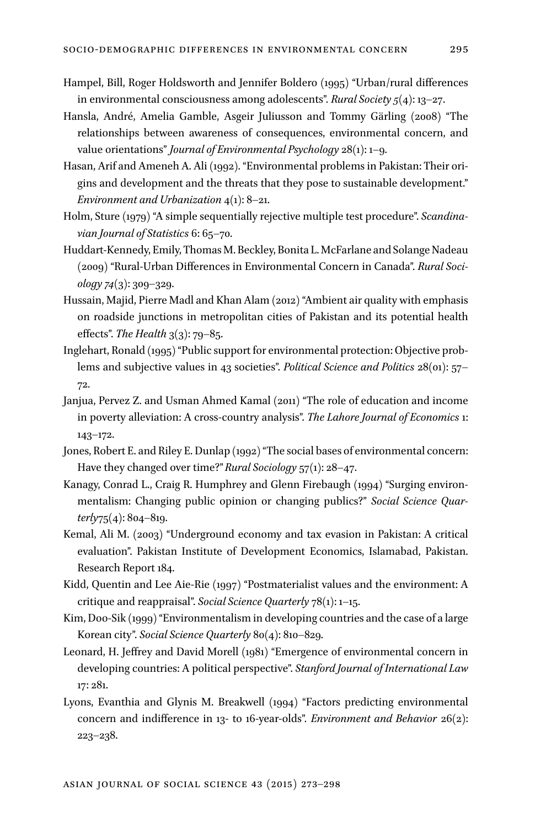- Hampel, Bill, Roger Holdsworth and Jennifer Boldero (1995) "Urban/rural differences in environmental consciousness among adolescents". *Rural Society 5*(4): 13–27.
- Hansla, André, Amelia Gamble, Asgeir Juliusson and Tommy Gärling (2008) "The relationships between awareness of consequences, environmental concern, and value orientations" *Journal of Environmental Psychology* 28(1): 1–9.
- Hasan, Arif and Ameneh A. Ali (1992). "Environmental problems in Pakistan: Their origins and development and the threats that they pose to sustainable development." *Environment and Urbanization* 4(1): 8–21.
- Holm, Sture (1979) "A simple sequentially rejective multiple test procedure". *Scandinavian Journal of Statistics* 6: 65–70.
- Huddart-Kennedy, Emily, Thomas M. Beckley, Bonita L. McFarlane and Solange Nadeau (2009) "Rural-Urban Differences in Environmental Concern in Canada". *Rural Sociology 74*(3): 309–329.
- Hussain, Majid, Pierre Madl and Khan Alam (2012) "Ambient air quality with emphasis on roadside junctions in metropolitan cities of Pakistan and its potential health effects". *The Health* 3(3): 79–85.
- Inglehart, Ronald (1995) "Public support for environmental protection: Objective problems and subjective values in 43 societies". *Political Science and Politics* 28(01): 57– 72.
- Janjua, Pervez Z. and Usman Ahmed Kamal (2011) "The role of education and income in poverty alleviation: A cross-country analysis". *The Lahore Journal of Economics* 1: 143–172.
- Jones, Robert E. and Riley E. Dunlap (1992) "The social bases of environmental concern: Have they changed over time?"*Rural Sociology* 57(1): 28–47.
- Kanagy, Conrad L., Craig R. Humphrey and Glenn Firebaugh (1994) "Surging environmentalism: Changing public opinion or changing publics?" *Social Science Quarterly*75(4): 804–819.
- Kemal, Ali M. (2003) "Underground economy and tax evasion in Pakistan: A critical evaluation". Pakistan Institute of Development Economics, Islamabad, Pakistan. Research Report 184.
- Kidd, Quentin and Lee Aie-Rie (1997) "Postmaterialist values and the environment: A critique and reappraisal". *Social Science Quarterly* 78(1): 1–15.
- Kim, Doo-Sik (1999) "Environmentalism in developing countries and the case of a large Korean city". *Social Science Quarterly* 80(4): 810–829.
- Leonard, H. Jeffrey and David Morell (1981) "Emergence of environmental concern in developing countries: A political perspective". *Stanford Journal of International Law* 17: 281.
- Lyons, Evanthia and Glynis M. Breakwell (1994) "Factors predicting environmental concern and indifference in 13- to 16-year-olds". *Environment and Behavior* 26(2): 223–238.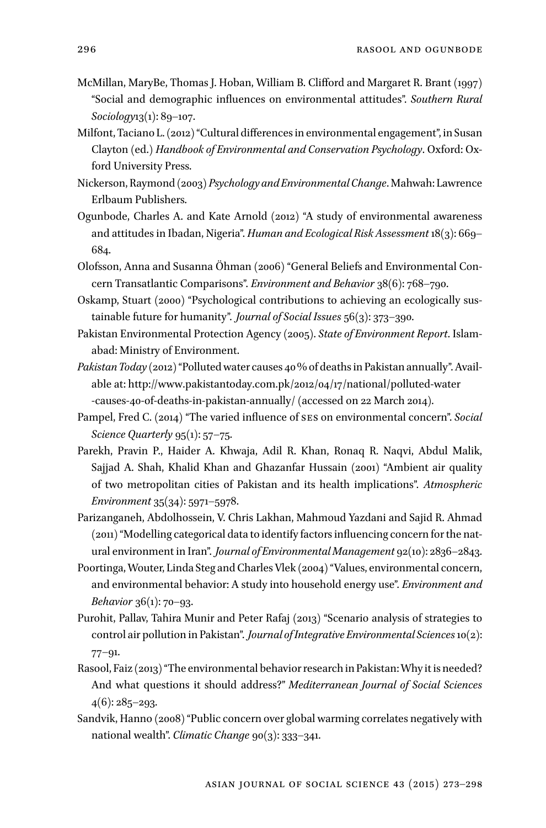- McMillan, MaryBe, Thomas J. Hoban, William B. Clifford and Margaret R. Brant (1997) "Social and demographic influences on environmental attitudes". *Southern Rural Sociology*13(1): 89–107.
- Milfont, Taciano L. (2012)"Cultural differences in environmental engagement", in Susan Clayton (ed.) *Handbook of Environmental and Conservation Psychology*. Oxford: Oxford University Press.
- Nickerson, Raymond (2003) *Psychology and Environmental Change*. Mahwah: Lawrence Erlbaum Publishers.
- Ogunbode, Charles A. and Kate Arnold (2012) "A study of environmental awareness and attitudes in Ibadan, Nigeria". *Human and Ecological Risk Assessment* 18(3): 669– 684.
- Olofsson, Anna and Susanna Öhman (2006) "General Beliefs and Environmental Concern Transatlantic Comparisons". *Environment and Behavior* 38(6): 768–790.
- Oskamp, Stuart (2000) "Psychological contributions to achieving an ecologically sustainable future for humanity". *Journal of Social Issues* 56(3): 373–390.
- Pakistan Environmental Protection Agency (2005). *State of Environment Report*. Islamabad: Ministry of Environment.
- *Pakistan Today* (2012)"Polluted water causes 40% of deaths in Pakistan annually". Available at: [http://www.pakistantoday.com.pk/2012/04/17/national/polluted-water](http://www.pakistantoday.com.pk/2012/04/17/national/polluted-water-causes-40-of-deaths-in-pakistan-annually/) [-causes-40-of-deaths-in-pakistan-annually/](http://www.pakistantoday.com.pk/2012/04/17/national/polluted-water-causes-40-of-deaths-in-pakistan-annually/) (accessed on 22 March 2014).
- Pampel, Fred C. (2014) "The varied influence of ses on environmental concern". *Social Science Quarterly* 95(1): 57–75.
- Parekh, Pravin P., Haider A. Khwaja, Adil R. Khan, Ronaq R. Naqvi, Abdul Malik, Sajjad A. Shah, Khalid Khan and Ghazanfar Hussain (2001) "Ambient air quality of two metropolitan cities of Pakistan and its health implications". *Atmospheric Environment* 35(34): 5971–5978.
- Parizanganeh, Abdolhossein, V. Chris Lakhan, Mahmoud Yazdani and Sajid R. Ahmad (2011)"Modelling categorical data to identify factors influencing concern for the natural environment in Iran". *Journal of Environmental Management* 92(10): 2836–2843.
- Poortinga, Wouter, Linda Steg and Charles Vlek (2004)"Values, environmental concern, and environmental behavior: A study into household energy use". *Environment and Behavior* 36(1): 70–93.
- Purohit, Pallav, Tahira Munir and Peter Rafaj (2013) "Scenario analysis of strategies to control air pollution in Pakistan". *Journal ofIntegrative Environmental Sciences*10(2): 77–91.
- Rasool, Faiz (2013)"The environmental behavior research in Pakistan:Why it is needed? And what questions it should address?" *Mediterranean Journal of Social Sciences*  $4(6)$ : 285–293.
- Sandvik, Hanno (2008) "Public concern over global warming correlates negatively with national wealth". *Climatic Change* 90(3): 333–341.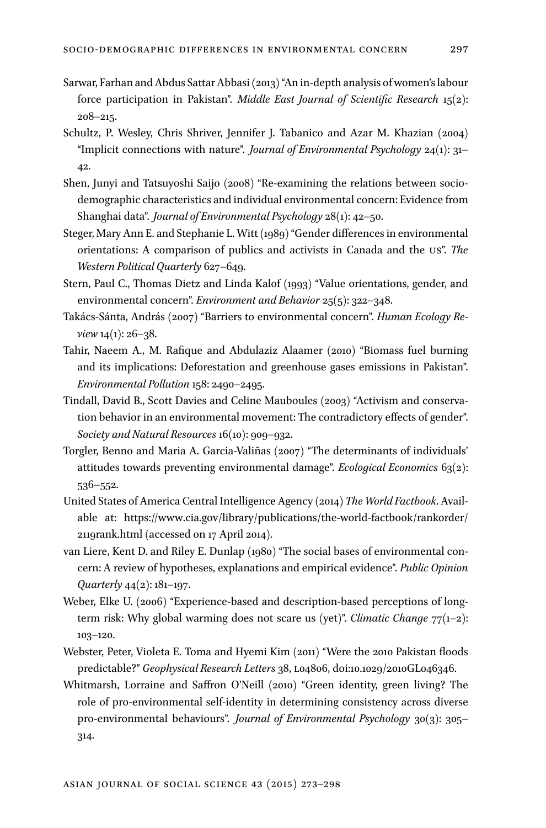- Sarwar, Farhan and Abdus Sattar Abbasi (2013)"An in-depth analysis of women's labour force participation in Pakistan". *Middle East Journal of Scientific Research* 15(2): 208–215.
- Schultz, P. Wesley, Chris Shriver, Jennifer J. Tabanico and Azar M. Khazian (2004) "Implicit connections with nature". *Journal of Environmental Psychology* 24(1): 31– 42.
- Shen, Junyi and Tatsuyoshi Saijo (2008) "Re-examining the relations between sociodemographic characteristics and individual environmental concern: Evidence from Shanghai data". *Journal of Environmental Psychology* 28(1): 42–50.
- Steger, Mary Ann E. and Stephanie L. Witt (1989) "Gender differences in environmental orientations: A comparison of publics and activists in Canada and the us". *The Western Political Quarterly* 627–649.
- Stern, Paul C., Thomas Dietz and Linda Kalof (1993) "Value orientations, gender, and environmental concern". *Environment and Behavior* 25(5): 322–348.
- Takács-Sánta, András (2007) "Barriers to environmental concern". *Human Ecology Review* 14(1): 26–38.
- Tahir, Naeem A., M. Rafique and Abdulaziz Alaamer (2010) "Biomass fuel burning and its implications: Deforestation and greenhouse gases emissions in Pakistan". *Environmental Pollution* 158: 2490–2495.
- Tindall, David B., Scott Davies and Celine Mauboules (2003) "Activism and conservation behavior in an environmental movement: The contradictory effects of gender". *Society and Natural Resources* 16(10): 909–932.
- Torgler, Benno and Maria A. Garcia-Valiñas (2007) "The determinants of individuals' attitudes towards preventing environmental damage". *Ecological Economics* 63(2): 536–552.
- United States of America Central Intelligence Agency (2014) *The World Factbook*. Available at: [https://www.cia.gov/library/publications/the-world-factbook/rankorder/](https://www.cia.gov/library/publications/the-world-factbook/rankorder/2119rank.html) [2119rank.html](https://www.cia.gov/library/publications/the-world-factbook/rankorder/2119rank.html) (accessed on 17 April 2014).
- van Liere, Kent D. and Riley E. Dunlap (1980) "The social bases of environmental concern: A review of hypotheses, explanations and empirical evidence". *Public Opinion Quarterly* 44(2): 181–197.
- Weber, Elke U. (2006) "Experience-based and description-based perceptions of longterm risk: Why global warming does not scare us (yet)". *Climatic Change* 77(1–2): 103–120.
- Webster, Peter, Violeta E. Toma and Hyemi Kim (2011) "Were the 2010 Pakistan floods predictable?" *Geophysical Research Letters* 38, l04806, doi:10.1029/2010GL046346.
- Whitmarsh, Lorraine and Saffron O'Neill (2010) "Green identity, green living? The role of pro-environmental self-identity in determining consistency across diverse pro-environmental behaviours". *Journal of Environmental Psychology* 30(3): 305– 314.